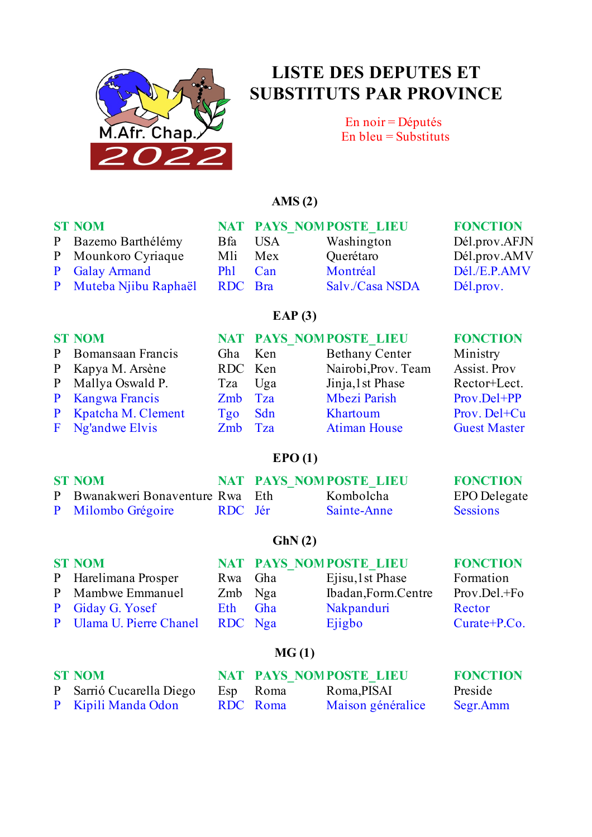

# **LISTE DES DEPUTES ET SUBSTITUTS PAR PROVINCE**

En noir = Députés En bleu =  $Substituts$ 

#### **AMS (2)**

| <b>ST NOM</b><br>P Bazemo Barthélémy<br>P Mounkoro Cyriaque<br>P Galay Armand | <b>B</b> fa<br>Mli<br><b>Ph1</b> | <b>USA</b><br>Mex<br>Can | NAT PAYS NOMPOSTE LIEU<br>Washington<br>Querétaro<br>Montréal | <b>FONCTION</b><br>Dél.prov.AFJN<br>Dél.prov.AMV<br>Dél./E.P.AMV |
|-------------------------------------------------------------------------------|----------------------------------|--------------------------|---------------------------------------------------------------|------------------------------------------------------------------|
| P Muteba Njibu Raphaël                                                        | RDC Bra                          |                          | Salv./Casa NSDA                                               | Dél.prov.                                                        |
|                                                                               |                                  | EAP $(3)$                |                                                               |                                                                  |
| <b>ST NOM</b>                                                                 |                                  |                          | NAT PAYS NOMPOSTE LIEU                                        | <b>FONCTION</b>                                                  |

| P Bomansaan Francis     | Gha Ken | <b>Bethany Center</b> | Ministry            |
|-------------------------|---------|-----------------------|---------------------|
| P Kapya M. Arsène       | RDC Ken | Nairobi, Prov. Team   | Assist. Prov        |
| P Mallya Oswald P.      | Tza Uga | Jinja, 1 st Phase     | Rector+Lect.        |
| P Kangwa Francis        | Zmb Tza | Mbezi Parish          | Prov.Del+PP         |
| P Kpatcha M. Clement    | Tgo Sdn | Khartoum              | Prov. Del+Cu        |
| <b>F</b> Ng'andwe Elvis | Zmb Tza | <b>Atiman House</b>   | <b>Guest Master</b> |
|                         |         |                       |                     |

### **EPO (1)**

| <b>ST NOM</b>                    |         | <b>NAT PAYS NOMPOSTE LIEU</b> | <b>FONCTION</b>     |
|----------------------------------|---------|-------------------------------|---------------------|
| P Bwanakweri Bonaventure Rwa Eth |         | Kombolcha                     | <b>EPO</b> Delegate |
| P Milombo Grégoire               | RDC Jér | Sainte-Anne                   | <b>Sessions</b>     |

#### **GhN (2)**

| <b>ST NOM</b>            |         | NAT PAYS NOMPOSTE LIEU | <b>FONCTION</b> |
|--------------------------|---------|------------------------|-----------------|
| P Harelimana Prosper     | Rwa Gha | Ejisu, 1 st Phase      | Formation       |
| P Mambwe Emmanuel        | Zmb Nga | Ibadan, Form. Centre   | Prov.Del.+Fo    |
| P Giday G. Yosef         | Eth Gha | Nakpanduri             | Rector          |
| P Ulama U. Pierre Chanel | RDC Nga | Ejigbo                 | $Curate+P.Co.$  |
|                          |         |                        |                 |

### **MG (1)**

| <b>ST NOM</b>            |          | NAT PAYS NOMPOSTE LIEU | <b>FONCTION</b> |
|--------------------------|----------|------------------------|-----------------|
| P Sarrió Cucarella Diego | Esp Roma | Roma, PISAI            | Preside         |
| P Kipili Manda Odon      | RDC Roma | Maison généralice      | Segr.Amm        |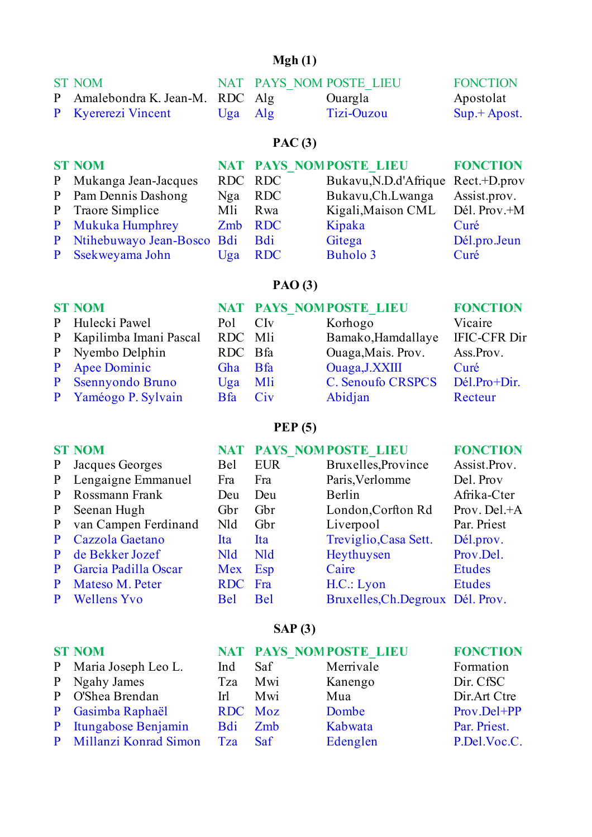## **Mgh (1)**

| <b>ST NOM</b>                    |           | NAT PAYS NOM POSTE LIEU | <b>FONCTION</b> |
|----------------------------------|-----------|-------------------------|-----------------|
| P Amalebondra K. Jean-M. RDC Alg |           | Ouargla                 | Apostolat       |
| <b>P</b> Kyererezi Vincent       | $Uga$ Alg | Tizi-Ouzou              | $Sup. + Apost.$ |

# **PAC (3)**

| <b>ST NOM</b>                    |         |            | NAT PAYS NOMPOSTE LIEU             | <b>FONCTION</b> |
|----------------------------------|---------|------------|------------------------------------|-----------------|
| P Mukanga Jean-Jacques           | RDC RDC |            | Bukavu, N.D.d'Afrique Rect.+D.prov |                 |
| P Pam Dennis Dashong             | Nga RDC |            | Bukavu, Ch. Lwanga                 | Assist.prov.    |
| P Traore Simplice                | Mli Rwa |            | Kigali, Maison CML                 | Dél. Prov.+M    |
| P Mukuka Humphrey                | Zmb RDC |            | Kipaka                             | Curé            |
| P Ntihebuwayo Jean-Bosco Bdi Bdi |         |            | Gitega                             | Dél.pro.Jeun    |
| P Ssekweyama John                | Uga     | <b>RDC</b> | Buholo 3                           | Curé            |

## **PAO (3)**

| <b>ST NOM</b>            |                     | NAT PAYS NOMPOSTE LIEU   | <b>FONCTION</b>     |
|--------------------------|---------------------|--------------------------|---------------------|
| P Hulecki Pawel          | Pol CI <sub>v</sub> | Korhogo                  | Vicaire             |
| P Kapilimba Imani Pascal | RDC Mli             | Bamako, Hamdallaye       | <b>IFIC-CFR Dir</b> |
| P Nyembo Delphin         | RDC Bfa             | Ouaga, Mais. Prov.       | Ass.Prov.           |
| P Apee Dominic           | Gha Bfa             | Ouaga, J.XXIII           | Curé                |
| P Ssennyondo Bruno       | $Uga$ Mli           | <b>C. Senoufo CRSPCS</b> | Dél.Pro+Dir.        |
| P Yaméogo P. Sylvain     | Bfa Civ             | Abidjan                  | Recteur             |
|                          |                     |                          |                     |

## **PEP (5)**

|              | <b>ST NOM</b>          |            |            | <b>NAT PAYS NOMPOSTE LIEU</b>    | <b>FONCTION</b> |
|--------------|------------------------|------------|------------|----------------------------------|-----------------|
| $\mathbf{P}$ | Jacques Georges        | Bel        | <b>EUR</b> | Bruxelles, Province              | Assist.Prov.    |
|              | P Lengaigne Emmanuel   | Fra        | Fra        | Paris, Verlomme                  | Del. Prov       |
|              | P Rossmann Frank       | Deu        | Deu        | Berlin                           | Afrika-Cter     |
| P            | Seenan Hugh            | Gbr        | Gbr        | London, Corfton Rd               | Prov. Del.+A    |
|              | P van Campen Ferdinand | Nld        | Gbr        | Liverpool                        | Par. Priest     |
|              | P Cazzola Gaetano      | <b>Ita</b> | Ita        | Treviglio, Casa Sett.            | Dél.prov.       |
| P.           | de Bekker Jozef        | <b>Nld</b> | <b>Nld</b> | Heythuysen                       | Prov.Del.       |
| P.           | Garcia Padilla Oscar   | Mex Esp    |            | Caire                            | <b>Etudes</b>   |
| P.           | Mateso M. Peter        | RDC Fra    |            | H.C.: Lyon                       | <b>Etudes</b>   |
| P            | <b>Wellens Yvo</b>     | <b>Bel</b> | <b>Bel</b> | Bruxelles, Ch.Degroux Dél. Prov. |                 |

## **SAP (3)**

| <b>ST NOM</b>           |         |     | NAT PAYS NOMPOSTE LIEU | <b>FONCTION</b> |
|-------------------------|---------|-----|------------------------|-----------------|
| P Maria Joseph Leo L.   | Ind     | Saf | Merrivale              | Formation       |
| P Ngahy James           | Tza     | Mwi | Kanengo                | Dir. CfSC       |
| P O'Shea Brendan        | Irl     | Mwi | Mua                    | Dir.Art Ctre    |
| P Gasimba Raphaël       | RDC Moz |     | Dombe                  | Prov.Del+PP     |
| P Itungabose Benjamin   | Bdi Zmb |     | Kabwata                | Par. Priest.    |
| P Millanzi Konrad Simon | Tza Saf |     | Edenglen               | P.Del.Voc.C.    |